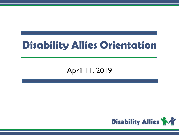### **Disability Allies Orientation**

#### April 11, 2019

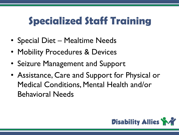# **Specialized Staff Training**

- Special Diet Mealtime Needs
- Mobility Procedures & Devices
- Seizure Management and Support
- Assistance, Care and Support for Physical or Medical Conditions, Mental Health and/or Behavioral Needs

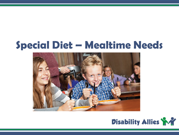### **Special Diet – Mealtime Needs**



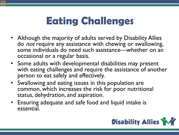# **Eating Challenges**

- Although the majority of adults served by Disability Allies do *not* require any assistance with chewing or swallowing, some individuals do need such assistance—whether on an occasional or a regular basis.
- Some adults with developmental disabilities may present with eating challenges and require the assistance of another person to eat safely and effectively.
- Swallowing and eating issues in this population are common, which increases the risk for poor nutritional status, dehydration, and aspiration.
- Ensuring adequate and safe food and liquid intake is essential.

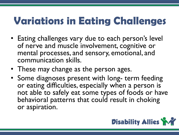## **Variations in Eating Challenges**

- Eating challenges vary due to each person's level of nerve and muscle involvement, cognitive or mental processes, and sensory, emotional, and communication skills.
- These may change as the person ages.
- Some diagnoses present with long- term feeding or eating difficulties, especially when a person is not able to safely eat some types of foods or have behavioral patterns that could result in choking or aspiration.

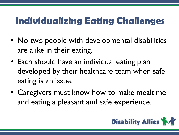#### **Individualizing Eating Challenges**

- No two people with developmental disabilities are alike in their eating.
- Each should have an individual eating plan developed by their healthcare team when safe eating is an issue.
- Caregivers must know how to make mealtime and eating a pleasant and safe experience.

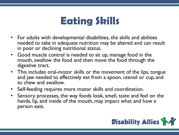#### **Eating Skills**

- For adults with developmental disabilities, the skills and abilities needed to take in adequate nutrition may be altered and can result in poor or declining nutritional status.
- Good muscle control is needed to sit up, manage food in the mouth, swallow the food and then move the food through the digestive tract.
- This includes oral-motor skills or the movement of the lips, tongue and jaw needed to effectively eat from a spoon, utensil or cup, and to chew and swallow.
- Self-feeding requires more motor skills and coordination.
- Sensory processes, the way foods look, smell, taste and feel on the hands, lip, and inside of the mouth, may impact what and how a person eats.

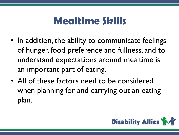### **Mealtime Skills**

- In addition, the ability to communicate feelings of hunger, food preference and fullness, and to understand expectations around mealtime is an important part of eating.
- All of these factors need to be considered when planning for and carrying out an eating plan.

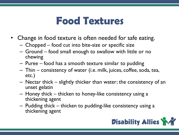#### **Food Textures**

- Change in food texture is often needed for safe eating.
	- Chopped food cut into bite-size or specific size
	- Ground food small enough to swallow with little or no chewing
	- Puree food has a smooth texture similar to pudding
	- Thin consistency of water (i.e. milk, juices, coffee, soda, tea, etc.)
	- Nectar thick slightly thicker than water; the consistency of an unset gelatin
	- Honey thick thicken to honey-like consistency using a thickening agent
	- Pudding thick thicken to pudding-like consistency using a thickening agent

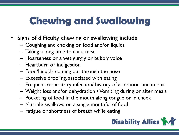# **Chewing and Swallowing**

- Signs of difficulty chewing or swallowing include:
	- Coughing and choking on food and/or liquids
	- Taking a long time to eat a meal
	- Hoarseness or a wet gurgly or bubbly voice
	- Heartburn or indigestion
	- Food/Liquids coming out through the nose
	- Excessive drooling, associated with eating
	- Frequent respiratory infection/ history of aspiration pneumonia
	- Weight loss and/or dehydration Vomiting during or after meals
	- Pocketing of food in the mouth along tongue or in cheek
	- Multiple swallows on a single mouthful of food
	- Fatigue or shortness of breath while eating

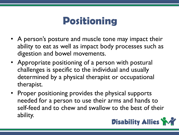#### **Positioning**

- A person's posture and muscle tone may impact their ability to eat as well as impact body processes such as digestion and bowel movements.
- Appropriate positioning of a person with postural challenges is specific to the individual and usually determined by a physical therapist or occupational therapist.
- Proper positioning provides the physical supports needed for a person to use their arms and hands to self-feed and to chew and swallow to the best of their ability.

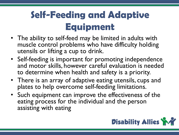### **Self-Feeding and Adaptive Equipment**

- The ability to self-feed may be limited in adults with muscle control problems who have difficulty holding utensils or lifting a cup to drink.
- Self-feeding is important for promoting independence and motor skills, however careful evaluation is needed to determine when health and safety is a priority.
- There is an array of adaptive eating utensils, cups and plates to help overcome self-feeding limitations.
- Such equipment can improve the effectiveness of the eating process for the individual and the person assisting with eating

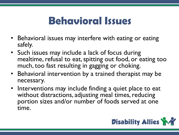#### **Behavioral Issues**

- Behavioral issues may interfere with eating or eating safely.
- Such issues may include a lack of focus during mealtime, refusal to eat, spitting out food, or eating too much, too fast resulting in gagging or choking.
- Behavioral intervention by a trained therapist may be necessary.
- Interventions may include finding a quiet place to eat without distractions, adjusting meal times, reducing portion sizes and/or number of foods served at one time.

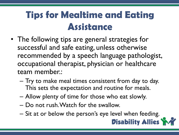#### **Tips for Mealtime and Eating Assistance**

- The following tips are general strategies for successful and safe eating, unless otherwise recommended by a speech language pathologist, occupational therapist, physician or healthcare team member.:
	- Try to make meal times consistent from day to day. This sets the expectation and routine for meals.
	- Allow plenty of time for those who eat slowly.
	- Do not rush. Watch for the swallow.
	- Sit at or below the person's eye level when feeding.

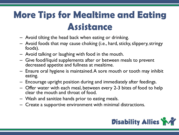#### **More Tips for Mealtime and Eating Assistance**

- Avoid tilting the head back when eating or drinking.
- Avoid foods that may cause choking (i.e., hard, sticky, slippery, stringy foods).
- Avoid talking or laughing with food in the mouth.
- Give food/liquid supplements after or between meals to prevent decreased appetite and fullness at mealtime.
- Ensure oral hygiene is maintained. A sore mouth or tooth may inhibit eating.
- Encourage upright position during and immediately after feedings.
- Offer water with each meal, between every 2-3 bites of food to help clear the mouth and throat of food.
- Wash and sanitize hands prior to eating meals.
- Create a supportive environment with minimal distractions.

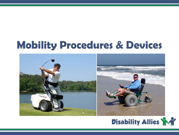# **Mobility Procedures & Devices**



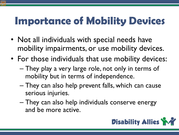# **Importance of Mobility Devices**

- Not all individuals with special needs have mobility impairments, or use mobility devices.
- For those individuals that use mobility devices:
	- They play a very large role, not only in terms of mobility but in terms of independence.
	- They can also help prevent falls, which can cause serious injuries.
	- They can also help individuals conserve energy and be more active.

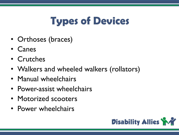# **Types of Devices**

- Orthoses (braces)
- Canes
- Crutches
- Walkers and wheeled walkers (rollators)
- Manual wheelchairs
- Power-assist wheelchairs
- Motorized scooters
- Power wheelchairs

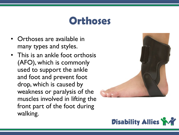#### **Orthoses**

- Orthoses are available in many types and styles.
- This is an ankle foot orthosis (AFO), which is commonly used to support the ankle and foot and prevent foot drop, which is caused by weakness or paralysis of the muscles involved in lifting the front part of the foot during walking.



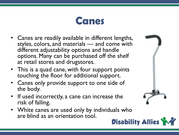

- Canes are readily available in different lengths, styles, colors, and materials — and come with different adjustability options and handle options. Many can be purchased off the shelf at retail stores and drugstores.
- This is a quad cane, with four support points touching the floor for additional support.
- Canes only provide support to one side of the body.
- If used incorrectly, a cane can increase the risk of falling.
- White canes are used only by individuals who are blind as an orientation tool.

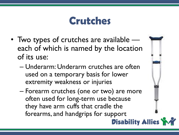#### **Crutches**

- Two types of crutches are available each of which is named by the location of its use:
	- Underarm: Underarm crutches are often used on a temporary basis for lower extremity weakness or injuries
	- Forearm crutches (one or two) are more often used for long-term use because they have arm cuffs that cradle the forearms, and handgrips for support

**Disability Allies**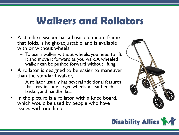#### **Walkers and Rollators**

- A standard walker has a basic aluminum frame that folds, is height-adjustable, and is available with or without wheels.
	- To use a walker without wheels, you need to lift it and move it forward as you walk. A wheeled walker can be pushed forward without lifting.
- A rollator is designed to be easier to maneuver than the standard walker,.
	- A rollator usually has several additional features that may include larger wheels, a seat bench, basket, and handbrakes.
- In the picture is a rollator with a knee board, which would be used by people who have issues with one limb



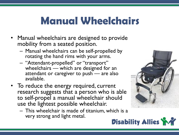### **Manual Wheelchairs**

- Manual wheelchairs are designed to provide mobility from a seated position.
	- Manual wheelchairs can be self-propelled by rotating the hand rims with your arms.
	- "Attendant-propelled" or "transport" wheelchairs — which are designed for an attendant or caregiver to push — are also available.
- To reduce the energy required, current research suggests that a person who is able to self-propel a manual wheelchair should use the lightest possible wheelchair.
	- This wheelchair is made of titanium, which is a very strong and light metal.



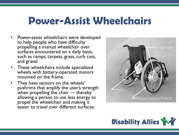#### **Power-Assist Wheelchairs**

- Power-assist wheelchairs were developed to help people who have difficulty propelling a manual wheelchair over surfaces encountered on a daily basis, such as ramps, carpets, grass, curb cuts, and gravel.
- These wheelchairs include specialized wheels with battery-operated motors mounted on the frame.
- They have sensors on the wheels' pushrims that amplify the user's strength when propelling the chair — thereby  $\overline{ }$ allowing a person to use less energy to propel the wheelchair and making it easier to travel over different surfaces.



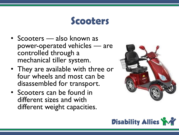#### **Scooters**

- Scooters also known as power-operated vehicles — are controlled through a mechanical tiller system.
- They are available with three or four wheels and most can be disassembled for transport.
- Scooters can be found in different sizes and with different weight capacities.



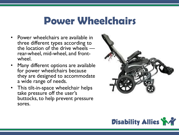#### **Power Wheelchairs**

- Power wheelchairs are available in three different types according to the location of the drive wheels — rear-wheel, mid-wheel, and front-<br>wheel.
- Many different options are available for power wheelchairs because they are designed to accommodate a wide range of needs.
- This tilt-in-space wheelchair helps take pressure off the user's buttocks, to help prevent pressure sores.



![](_page_25_Picture_5.jpeg)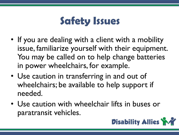# **Safety Issues**

- If you are dealing with a client with a mobility issue, familiarize yourself with their equipment. You may be called on to help change batteries in power wheelchairs, for example.
- Use caution in transferring in and out of wheelchairs; be available to help support if needed.
- Use caution with wheelchair lifts in buses or paratransit vehicles.

![](_page_26_Picture_4.jpeg)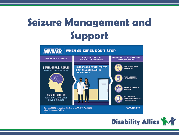# **Seizure Management and Support**

![](_page_27_Figure_1.jpeg)

![](_page_27_Picture_2.jpeg)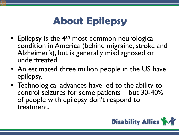# **About Epilepsy**

- Epilepsy is the  $4<sup>th</sup>$  most common neurological condition in America (behind migraine, stroke and Alzheimer's), but is generally misdiagnosed or undertreated.
- An estimated three million people in the US have epilepsy.
- Technological advances have led to the ability to control seizures for some patients – but 30-40% of people with epilepsy don't respond to treatment.

![](_page_28_Picture_4.jpeg)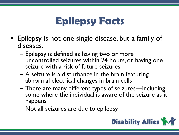### **Epilepsy Facts**

- Epilepsy is not one single disease, but a family of diseases.
	- Epilepsy is defined as having two or more uncontrolled seizures within 24 hours, or having one seizure with a risk of future seizures
	- A seizure is a disturbance in the brain featuring abnormal electrical changes in brain cells
	- There are many different types of seizures—including some where the individual is aware of the seizure as it happens
	- Not all seizures are due to epilepsy

![](_page_29_Picture_6.jpeg)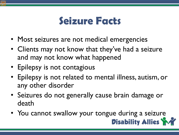#### **Seizure Facts**

- Most seizures are not medical emergencies
- Clients may not know that they've had a seizure and may not know what happened
- Epilepsy is not contagious
- Epilepsy is not related to mental illness, autism, or any other disorder
- Seizures do not generally cause brain damage or death
- You cannot swallow your tongue during a seizure

![](_page_30_Picture_7.jpeg)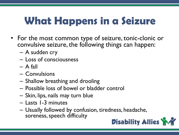# **What Happens in a Seizure**

- For the most common type of seizure, tonic-clonic or convulsive seizure, the following things can happen:
	- A sudden cry
	- Loss of consciousness
	- $-$  A fall
	- Convulsions
	- Shallow breathing and drooling
	- Possible loss of bowel or bladder control
	- Skin, lips, nails may turn blue
	- Lasts 1-3 minutes
	- Usually followed by confusion, tiredness, headache, soreness, speech difficulty

![](_page_31_Picture_11.jpeg)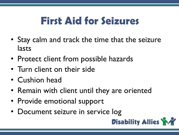# **First Aid for Seizures**

- Stay calm and track the time that the seizure lasts
- Protect client from possible hazards
- Turn client on their side
- Cushion head
- Remain with client until they are oriented
- Provide emotional support
- Document seizure in service log

![](_page_32_Picture_8.jpeg)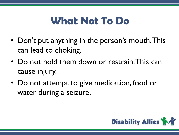### **What Not To Do**

- Don't put anything in the person's mouth. This can lead to choking.
- Do not hold them down or restrain. This can cause injury.
- Do not attempt to give medication, food or water during a seizure.

![](_page_33_Picture_4.jpeg)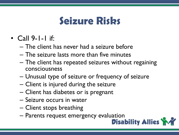#### **Seizure Risks**

- Call 9-1-1 if:
	- The client has never had a seizure before
	- The seizure lasts more than five minutes
	- The client has repeated seizures without regaining consciousness
	- Unusual type of seizure or frequency of seizure
	- Client is injured during the seizure
	- Client has diabetes or is pregnant
	- Seizure occurs in water
	- Client stops breathing
	- Parents request emergency evaluation<br>**Disability Allies**

![](_page_34_Picture_11.jpeg)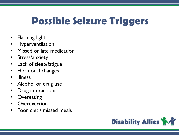# **Possible Seizure Triggers**

- Flashing lights
- **Hyperventilation**
- Missed or late medication
- Stress/anxiety
- Lack of sleep/fatigue
- Hormonal changes
- Illness
- Alcohol or drug use
- Drug interactions
- Overeating
- **Overexertion**
- Poor diet / missed meals

![](_page_35_Picture_13.jpeg)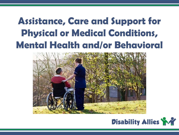### **Assistance, Care and Support for Physical or Medical Conditions, Mental Health and/or Behavioral**

![](_page_36_Picture_1.jpeg)

![](_page_36_Picture_2.jpeg)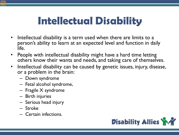### **Intellectual Disability**

- Intellectual disability is a term used when there are limits to a person's ability to learn at an expected level and function in daily life.
- People with intellectual disability might have a hard time letting others know their wants and needs, and taking care of themselves.
- Intellectual disability can be caused by genetic issues, injury, disease, or a problem in the brain:
	- Down syndrome
	- Fetal alcohol syndrome,
	- Fragile X syndrome
	- Birth injuries
	- Serious head injury
	- Stroke
	- Certain infections.

![](_page_37_Picture_11.jpeg)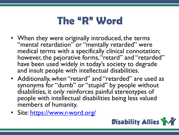### **The "R" Word**

- When they were originally introduced, the terms "mental retardation" or "mentally retarded" were medical terms with a specifically clinical connotation; however, the pejorative forms, "retard" and "retarded" have been used widely in today's society to degrade and insult people with intellectual disabilities.
- Additionally, when "retard" and "retarded" are used as synonyms for "dumb" or "stupid" by people without disabilities, it only reinforces painful stereotypes of people with intellectual disabilities being less valued members of humanity.
- Site:<https://www.r-word.org/>

![](_page_38_Picture_4.jpeg)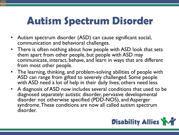# **Autism Spectrum Disorder**

- Autism spectrum disorder (ASD) can cause significant social, communication and behavioral challenges.
- There is often nothing about how people with ASD look that sets them apart from other people, but people with ASD may communicate, interact, behave, and learn in ways that are different from most other people.
- The learning, thinking, and problem-solving abilities of people with ASD can range from gifted to severely challenged. Some people with ASD need a lot of help in their daily lives; others need less.
- A diagnosis of ASD now includes several conditions that used to be diagnosed separately: autistic disorder, pervasive developmental disorder not otherwise specified (PDD-NOS), and Asperger syndrome. These conditions are now all called autism spectrum disorder.

![](_page_39_Picture_5.jpeg)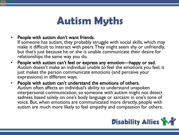#### **Autism Myths**

- People with autism don't want friends.
- If someone has autism, they probably struggle with social skills, which may make it difficult to interact with peers. They might seem shy or unfriendly, but that's just because he or she is unable communicate their desire for relationships the same way you do.
- People with autism can't feel or express any emotion—happy or sad. Autism doesn't make an individual unable to feel the emotions you feel, it just makes the person communicate emotions (and perceive your expressions) in different ways.
- People with autism can't understand the emotions of others. Autism often affects an individual's ability to understand unspoken interpersonal communication, so someone with autism might not detect sadness based solely on one's body language or sarcasm in one's tone of voice. But, when emotions are communicated more directly, people with autism are much more likely to feel empathy and compassion for others.

![](_page_40_Picture_5.jpeg)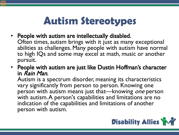# **Autism Stereotypes**

- People with autism are intellectually disabled. Often times, autism brings with it just as many exceptional abilities as challenges. Many people with autism have normal to high IQs and some may excel at math, music or another pursuit.
- People with autism are just like Dustin Hoffman's character in *Rain Man*.<br>Autism is a spectrum disorder, meaning its characteristics

vary significantly from person to person. Knowing one person with autism means just that—knowing one person with autism. A person's capabilities and limitations are no indication of the capabilities and limitations of another person with autism.

![](_page_41_Picture_4.jpeg)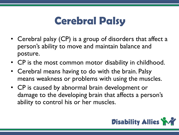### **Cerebral Palsy**

- Cerebral palsy (CP) is a group of disorders that affect a person's ability to move and maintain balance and posture.
- CP is the most common motor disability in childhood.
- Cerebral means having to do with the brain. Palsy means weakness or problems with using the muscles.
- CP is caused by abnormal brain development or damage to the developing brain that affects a person's ability to control his or her muscles.

![](_page_42_Picture_5.jpeg)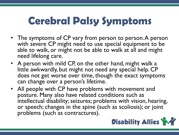# **Cerebral Palsy Symptoms**

- The symptoms of CP vary from person to person. A person with severe CP might need to use special equipment to be able to walk, or might not be able to walk at all and might need lifelong care.
- A person with mild CP, on the other hand, might walk a little awkwardly, but might not need any special help. CP does not get worse over time, though the exact symptoms can change over a person's lifetime.
- All people with CP have problems with movement and posture. Many also have related conditions such as intellectual disability; seizures; problems with vision, hearing, or speech; changes in the spine (such as scoliosis); or joint problems (such as contractures).

![](_page_43_Picture_4.jpeg)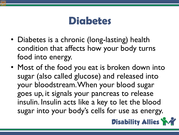#### **Diabetes**

- Diabetes is a chronic (long-lasting) health condition that affects how your body turns food into energy.
- Most of the food you eat is broken down into sugar (also called glucose) and released into your bloodstream. When your blood sugar goes up, it signals your pancreas to release insulin. Insulin acts like a key to let the blood sugar into your body's cells for use as energy.

![](_page_44_Picture_3.jpeg)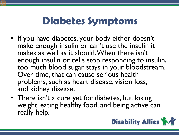# **Diabetes Symptoms**

- If you have diabetes, your body either doesn't make enough insulin or can't use the insulin it makes as well as it should. When there isn't enough insulin or cells stop responding to insulin, too much blood sugar stays in your bloodstream. Over time, that can cause serious health problems, such as heart disease, vision loss, and kidney disease.
- There isn't a cure yet for diabetes, but losing weight, eating healthy food, and being active can really help.

![](_page_45_Picture_3.jpeg)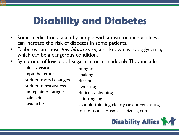# **Disability and Diabetes**

- Some medications taken by people with autism or mental illness can increase the risk of diabetes in some patients.
- Diabetes can cause low blood sugar, also known as hypoglycemia, which can be a dangerous condition.
- Symptoms of low blood sugar can occur suddenly. They include:
	- blurry vision
	- rapid heartbeat
	- sudden mood changes
	- sudden nervousness
	- unexplained fatigue
	- pale skin
	- headache
- hunger
- shaking
- dizziness
- sweating
- difficulty sleeping
- skin tingling
- trouble thinking clearly or concentrating
- loss of consciousness, seizure, coma

![](_page_46_Picture_19.jpeg)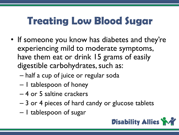# **Treating Low Blood Sugar**

- If someone you know has diabetes and they're experiencing mild to moderate symptoms, have them eat or drink 15 grams of easily digestible carbohydrates, such as:
	- half a cup of juice or regular soda
	- 1 tablespoon of honey
	- 4 or 5 saltine crackers
	- 3 or 4 pieces of hard candy or glucose tablets
	- 1 tablespoon of sugar

![](_page_47_Picture_7.jpeg)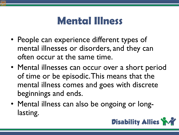#### **Mental Illness**

- People can experience different types of mental illnesses or disorders, and they can often occur at the same time.
- Mental illnesses can occur over a short period of time or be episodic. This means that the mental illness comes and goes with discrete beginnings and ends.
- Mental illness can also be ongoing or longlasting.

![](_page_48_Picture_4.jpeg)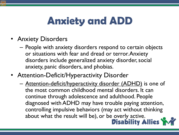# **Anxiety and ADD**

- Anxiety Disorders
	- People with anxiety disorders respond to certain objects or situations with fear and dread or terror. Anxiety disorders include generalized anxiety disorder, social anxiety, panic disorders, and phobias.
- Attention-Deficit/Hyperactivity Disorder
	- Attention-deficit/hyperactivity disorder (ADHD) is one of the most common childhood mental disorders. It can continue through adolescence and adulthood. People diagnosed with ADHD may have trouble paying attention, controlling impulsive behaviors (may act without thinking about what the result will be), or be overly active.<br>**Disability Allies**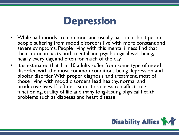![](_page_50_Picture_0.jpeg)

- While bad moods are common, and usually pass in a short period, people suffering from mood disorders live with more constant and severe symptoms. People living with this mental illness find that their mood impacts both mental and psychological well-being, nearly every day, and often for much of the day.
- It is estimated that I in 10 adults suffer from some type of mood disorder, with the most common conditions being depression and bipolar disorder. With proper diagnosis and treatment, most of those living with mood disorders lead healthy, normal and productive lives. If left untreated, this illness can affect role functioning, quality of life and many long-lasting physical health problems such as diabetes and heart disease.

![](_page_50_Picture_3.jpeg)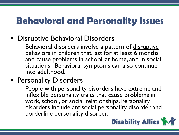#### **Behavioral and Personality Issues**

- Disruptive Behavioral Disorders
	- Behavioral disorders involve a pattern of disruptive behaviors in children that last for at least 6 months and cause problems in school, at home, and in social situations. Behavioral symptoms can also continue into adulthood.
- Personality Disorders
	- People with personality disorders have extreme and inflexible personality traits that cause problems in work, school, or social relationships. Personality disorders include antisocial personality disorder and borderline personality disorder.

![](_page_51_Picture_5.jpeg)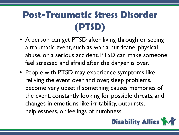### **Post-Traumatic Stress Disorder (PTSD)**

- A person can get PTSD after living through or seeing a traumatic event, such as war, a hurricane, physical abuse, or a serious accident. PTSD can make someone feel stressed and afraid after the danger is over.
- People with PTSD may experience symptoms like reliving the event over and over, sleep problems, become very upset if something causes memories of the event, constantly looking for possible threats, and changes in emotions like irritability, outbursts, helplessness, or feelings of numbness.

![](_page_52_Picture_3.jpeg)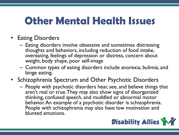### **Other Mental Health Issues**

- Eating Disorders
	- Eating disorders involve obsessive and sometimes distressing thoughts and behaviors, including reduction of food intake, overeating, feelings of depression or distress, concern about weight, body shape, poor self-image
	- Common types of eating disorders include anorexia, bulimia, and binge eating.
- Schizophrenia Spectrum and Other Psychotic Disorders
	- People with psychotic disorders hear, see, and believe things that aren't real or true. They may also show signs of disorganized thinking, confused speech, and muddled or abnormal motor behavior. An example of a psychotic disorder is schizophrenia. People with schizophrenia may also have low motivation and blunted emotions.

![](_page_53_Picture_6.jpeg)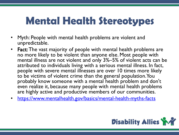# **Mental Health Stereotypes**

- Myth: People with mental health problems are violent and unpredictable.
- **Fact:** The vast majority of people with mental health problems are no more likely to be violent than anyone else. Most people with mental illness are not violent and only 3%–5% of violent acts can be attributed to individuals living with a serious mental illness. In fact, people with severe mental illnesses are over 10 times more likely to be victims of violent crime than the general population. You probably know someone with a mental health problem and don't even realize it, because many people with mental health problems are highly active and productive members of our communities.
- <https://www.mentalhealth.gov/basics/mental-health-myths-facts>

![](_page_54_Picture_4.jpeg)